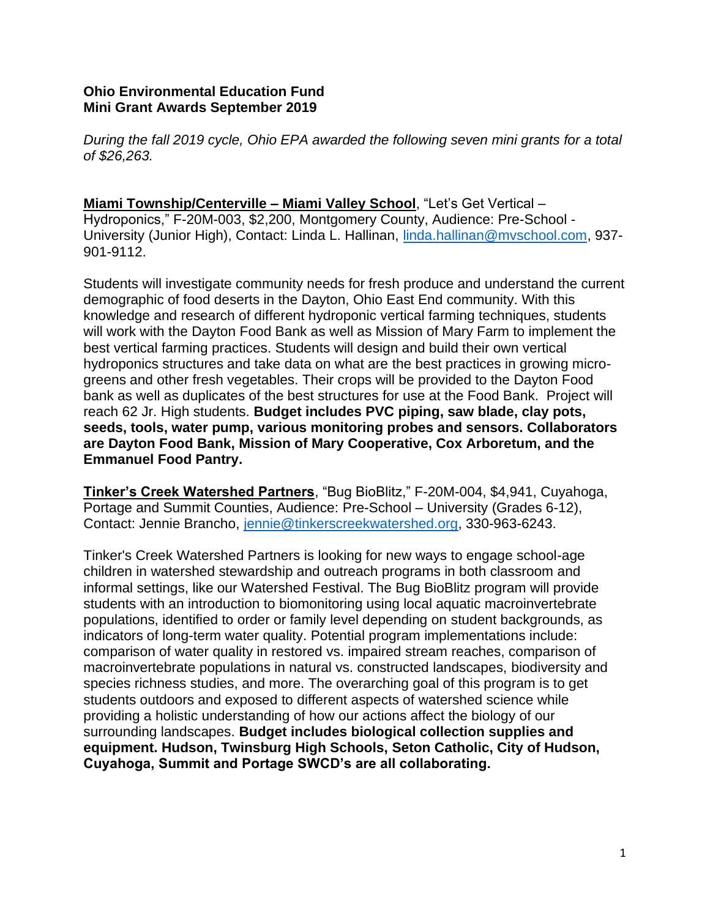## **Ohio Environmental Education Fund Mini Grant Awards September 2019**

*During the fall 2019 cycle, Ohio EPA awarded the following seven mini grants for a total of \$26,263.* 

**Miami Township/Centerville – Miami Valley School**, "Let's Get Vertical – Hydroponics," F-20M-003, \$2,200, Montgomery County, Audience: Pre-School - University (Junior High), Contact: Linda L. Hallinan, [linda.hallinan@mvschool.com,](mailto:linda.hallinan@mvschool.com) 937- 901-9112.

Students will investigate community needs for fresh produce and understand the current demographic of food deserts in the Dayton, Ohio East End community. With this knowledge and research of different hydroponic vertical farming techniques, students will work with the Dayton Food Bank as well as Mission of Mary Farm to implement the best vertical farming practices. Students will design and build their own vertical hydroponics structures and take data on what are the best practices in growing microgreens and other fresh vegetables. Their crops will be provided to the Dayton Food bank as well as duplicates of the best structures for use at the Food Bank. Project will reach 62 Jr. High students. **Budget includes PVC piping, saw blade, clay pots, seeds, tools, water pump, various monitoring probes and sensors. Collaborators are Dayton Food Bank, Mission of Mary Cooperative, Cox Arboretum, and the Emmanuel Food Pantry.** 

**Tinker's Creek Watershed Partners**, "Bug BioBlitz," F-20M-004, \$4,941, Cuyahoga, Portage and Summit Counties, Audience: Pre-School – University (Grades 6-12), Contact: Jennie Brancho, [jennie@tinkerscreekwatershed.org,](mailto:jennie@tinkerscreekwatershed.org) 330-963-6243.

Tinker's Creek Watershed Partners is looking for new ways to engage school-age children in watershed stewardship and outreach programs in both classroom and informal settings, like our Watershed Festival. The Bug BioBlitz program will provide students with an introduction to biomonitoring using local aquatic macroinvertebrate populations, identified to order or family level depending on student backgrounds, as indicators of long-term water quality. Potential program implementations include: comparison of water quality in restored vs. impaired stream reaches, comparison of macroinvertebrate populations in natural vs. constructed landscapes, biodiversity and species richness studies, and more. The overarching goal of this program is to get students outdoors and exposed to different aspects of watershed science while providing a holistic understanding of how our actions affect the biology of our surrounding landscapes. **Budget includes biological collection supplies and equipment. Hudson, Twinsburg High Schools, Seton Catholic, City of Hudson, Cuyahoga, Summit and Portage SWCD's are all collaborating.**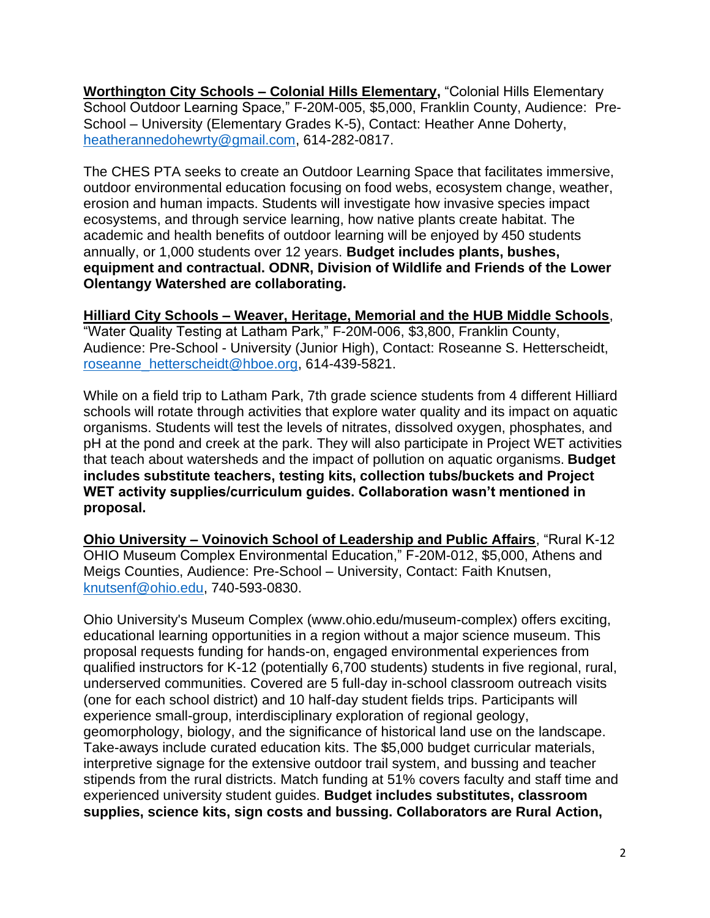**Worthington City Schools – Colonial Hills Elementary,** "Colonial Hills Elementary School Outdoor Learning Space," F-20M-005, \$5,000, Franklin County, Audience: Pre-School – University (Elementary Grades K-5), Contact: Heather Anne Doherty, [heatherannedohewrty@gmail.com,](mailto:heatherannedohewrty@gmail.com) 614-282-0817.

The CHES PTA seeks to create an Outdoor Learning Space that facilitates immersive, outdoor environmental education focusing on food webs, ecosystem change, weather, erosion and human impacts. Students will investigate how invasive species impact ecosystems, and through service learning, how native plants create habitat. The academic and health benefits of outdoor learning will be enjoyed by 450 students annually, or 1,000 students over 12 years. **Budget includes plants, bushes, equipment and contractual. ODNR, Division of Wildlife and Friends of the Lower Olentangy Watershed are collaborating.** 

## **Hilliard City Schools – Weaver, Heritage, Memorial and the HUB Middle Schools**,

"Water Quality Testing at Latham Park," F-20M-006, \$3,800, Franklin County, Audience: Pre-School - University (Junior High), Contact: Roseanne S. Hetterscheidt, [roseanne\\_hetterscheidt@hboe.org,](mailto:roseanne_hetterscheidt@hboe.org) 614-439-5821.

While on a field trip to Latham Park, 7th grade science students from 4 different Hilliard schools will rotate through activities that explore water quality and its impact on aquatic organisms. Students will test the levels of nitrates, dissolved oxygen, phosphates, and pH at the pond and creek at the park. They will also participate in Project WET activities that teach about watersheds and the impact of pollution on aquatic organisms. **Budget includes substitute teachers, testing kits, collection tubs/buckets and Project WET activity supplies/curriculum guides. Collaboration wasn't mentioned in proposal.** 

**Ohio University – Voinovich School of Leadership and Public Affairs**, "Rural K-12 OHIO Museum Complex Environmental Education," F-20M-012, \$5,000, Athens and Meigs Counties, Audience: Pre-School – University, Contact: Faith Knutsen, [knutsenf@ohio.edu,](mailto:knutsenf@ohio.edu) 740-593-0830.

Ohio University's Museum Complex (www.ohio.edu/museum-complex) offers exciting, educational learning opportunities in a region without a major science museum. This proposal requests funding for hands-on, engaged environmental experiences from qualified instructors for K-12 (potentially 6,700 students) students in five regional, rural, underserved communities. Covered are 5 full-day in-school classroom outreach visits (one for each school district) and 10 half-day student fields trips. Participants will experience small-group, interdisciplinary exploration of regional geology, geomorphology, biology, and the significance of historical land use on the landscape. Take-aways include curated education kits. The \$5,000 budget curricular materials, interpretive signage for the extensive outdoor trail system, and bussing and teacher stipends from the rural districts. Match funding at 51% covers faculty and staff time and experienced university student guides. **Budget includes substitutes, classroom supplies, science kits, sign costs and bussing. Collaborators are Rural Action,**